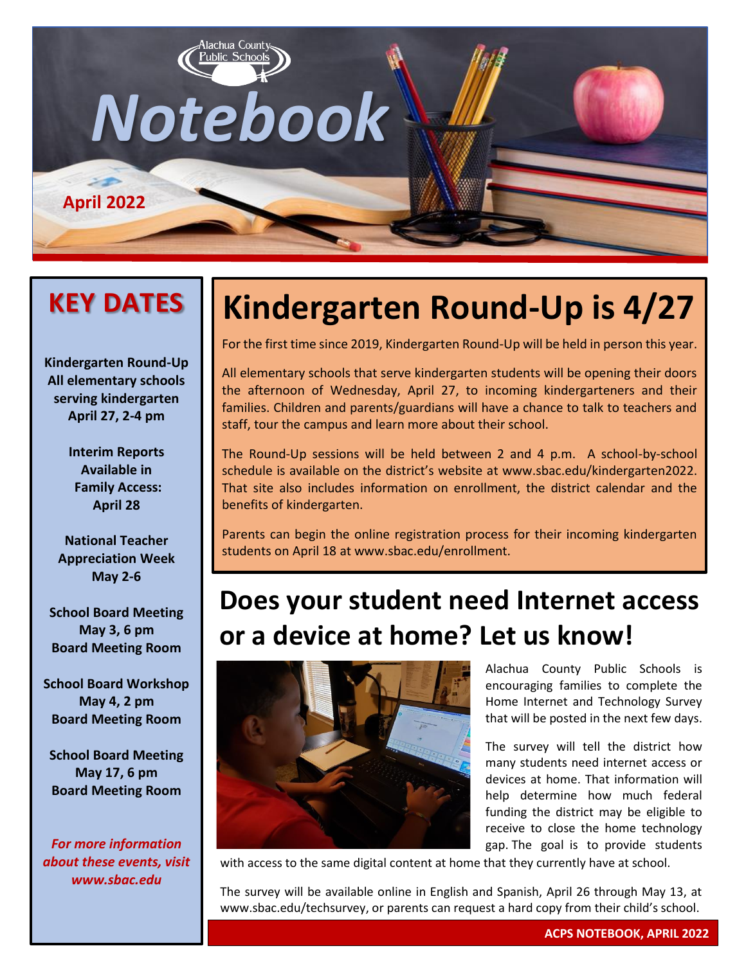

### **KEY DATES**

**Kindergarten Round-Up All elementary schools serving kindergarten April 27, 2-4 pm**

> **Interim Reports Available in Family Access: April 28**

**National Teacher Appreciation Week May 2-6**

**School Board Meeting May 3, 6 pm Board Meeting Room**

**School Board Workshop May 4, 2 pm Board Meeting Room**

**School Board Meeting May 17, 6 pm Board Meeting Room**

*For more information about these events, visit www.sbac.edu*

# **Kindergarten Round-Up is 4/27**

For the first time since 2019, Kindergarten Round-Up will be held in person this year.

All elementary schools that serve kindergarten students will be opening their doors the afternoon of Wednesday, April 27, to incoming kindergarteners and their families. Children and parents/guardians will have a chance to talk to teachers and staff, tour the campus and learn more about their school.

The Round-Up sessions will be held between 2 and 4 p.m. A school-by-school schedule is available on the district's website at www.sbac.edu/kindergarten2022. That site also includes information on enrollment, the district calendar and the benefits of kindergarten.

Parents can begin the online registration process for their incoming kindergarten students on April 18 at www.sbac.edu/enrollment.

## **Does your student need Internet access or a device at home? Let us know!**



Alachua County Public Schools is encouraging families to complete the Home Internet and Technology Survey that will be posted in the next few days.

The survey will tell the district how many students need internet access or devices at home. That information will help determine how much federal funding the district may be eligible to receive to close the home technology gap. The goal is to provide students

with access to the same digital content at home that they currently have at school.

The survey will be available online in English and Spanish, April 26 through May 13, at www.sbac.edu/techsurvey, or parents can request a hard copy from their child's school.